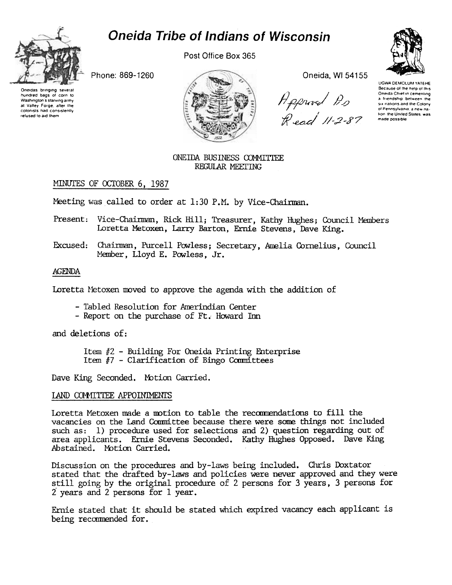# **Oneida Tribe of Indians of Wisconsin**



Post Office Box 365

Phone: 869-1260

Oneidas brinoino severa hundred bags of corn to Washington's starving army at Valley Forge, after the colonists had consistently refused to aid them



Oneida, WI 54155

H pprivet Ps<br>R ead 11–2–87



**UGWA DEMOLUM YATEHE** Because of the help of this Oneida Chief in cementing a friendship between the six nations and the Colony of Pennsylvania, a new na tion, the United States, was made possible

#### ONEIDA BUSINESS COMMITTEE REGULAR MEETING

# MINUTES OF OCTOBER 6, 1987

Meeting was called to order at 1:30 P.M. by Vice-Chairman.

- Present: Vice-Chairman, Rick Hill; Treasurer, Kathy Hughes; Council Members Loretta Metoxen, Larry Barton, Ernie Stevens, Dave King.
- Excused: Chairman, Purcell Powless; Secretary, Amelia Cornelius, Council Member, Lloyd E. Powless, Jr.

## **AGENDA**

Loretta Metoxen moved to approve the agenda with the addition of

- Tabled Resolution for Amerindian Center
- Report on the purchase of Ft. Howard Inn

and deletions of:

Item  $#2$  - Building For Oneida Printing Enterprise Item #7 - Clarification of Bingo Committees

Dave King Seconded. Motion Carried.

## LAND COMMITTEE APPOINTMENTS

Loretta Metoxen made a motion to table the recommendations to fill the vacancies on the Land Committee because there were some things not included such as: 1) procedure used for selections and 2) question regarding out of area applicants. Ernie Stevens Seconded. Kathy Hughes Opposed. Dave King Abstained. Motion Carried.

Discussion on the procedures and by-laws being included. Chris Doxtator stated that the drafted by-laws and policies were never approved and they were still going by the original procedure of 2 persons for 3 years, 3 persons for 2 years and 2 persons for 1 year.

Ernie stated that it should be stated which expired vacancy each applicant is being recommended for.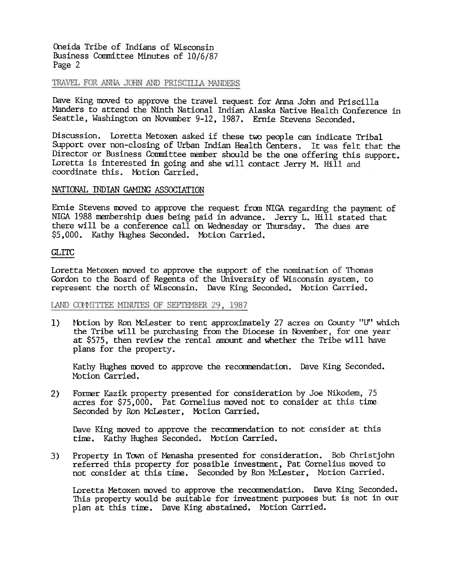Oneida Tribe of Indians of Wisconsin Business Committee Minutes of 10/6/87 Page 2

#### TRAVEL FOR ANNA JOHN AND PRISCILLA MANDERS

Dave King moved to approve the travel request for Anna John and Priscilla Manders to attend the Ninth National Indian Alaska Native Health Conference in Seattle, Washington on November 9-12, 1987. Ernie Stevens Seconded.

Discussion. Loretta Metoxen asked if these two people can indicate Tribal Support over non-closing of Urban Indian Health Centers. It was felt that the Director or Business Committee member should be the one offering this support. Loretta is interested in going and she will contact Jerry M. Hill and coordinate this. Motion Carried.

#### NATIONAL INDIAN GAMING ASSOCIATION

Ernie Stevens moved to approve the request from NIGA regarding the payment of NIGA 1988 membership dues being paid in advance. Jerry L. Hill stated that there will be a conference call on Wednesday or Thursday. The dues are \$5,000. Kathy Hughes Seconded. Mbtion Carried.

#### GLrrc

Loretta Metoxen moved to approve the support of the nomination of Thomas Gordon to the Board of Regents of the University of Wisconsin system, to represent the north of Wisconsin. Dave King Seconded. Motion Carried.

#### LAND CONNITTEE MINUTES OF SEPTEMBER 29, 1987

1) Motion by Ron McLester to rent approximately 27 acres on County "U" which the Tribe will be purchasing from the Diocese in November, for one year at \$575, then review the rental amount and whether the Tribe will have plans for the property.

Kathy Hughes moved to approve the recommendation. Dave King Seconded. Motion Carried.

Former Kazik property presented for consideration by Joe Nikodem, 75 acres for \$75,000. Pat Cornelius moved not to consider at this time, Seconded by Ron McLester, Motion Carried. 2)

Dave King moved to approve the recommendation to not consider at this time. Kathy Hughes Seconded. Motion Carried.

Property in Town of Menasha presented for consideration. Bob Christjohn referred this property for possible investment, Pat Cornelius moved to not consider at this time. Seconded by Ron McLester, Motion Carried. 3)

Loretta Metoxen moved to approve the recommendation. Dave King Seconded. This property would be suitable for investment purposes but is not in our plan at this time. Dave King abstained. Motion Carried.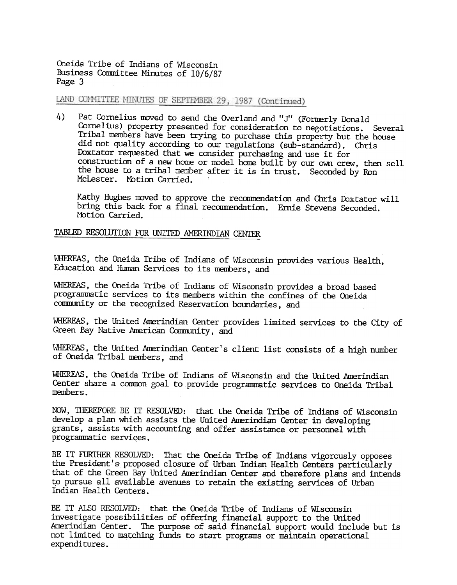Q1eida Tribe of Indians of Wisconsin Business Committee Minutes of 10/6/87 Page 3

LAND COMMITTEE MINUTES OF SEPTEMBER 29, 1987 (Continued)

4) Pat Cornelius moved to send the Overland and "J" (Formerly Donald Cornelius) property presented for consideration to negotiations. Several Tribal members have been trying to purchase this property but the house did not quality according to our regulations (sub-standard). Chris Doxtator requested that we consider purchasing and use it for construction of a new horne or model home built by our own crew, then sell the house to a tribal member after it is in trust. Seconded by Ron McLester. Motion Carried.

Kathy Hughes moved to approve the recommendation and Chris Doxtator will bring this badk for a final recommendation. Ernie Stevens Seconded. Motion Carried.

#### TABLED RESOLUTION FOR UNITED AMERINDIAN CENTER

WHEREAS, the Oneida Tribe of Indians of Wisconsin provides various Health, Education and Human Services to its members, and

WHEREAS, the Oneida Tribe of Indians of Wisconsin provides a broad based programmatic services to its members within the confines of the Oneida community or the recognized Reservation boundaries, and

WHEREAS, the United Amerindian Center provides limited services to the City of Green Bay Native American Community, and

WHEREAS, the united Amerindian Center's client list consists of a high number of Oneida Tribal members, and

WHEREAS, the Oneida Tribe of Indians of Wisconsin and the United Amerindian Center share a common goal to provide programmatic services to Oneida Tribal nenbers.

NOW. THEREFORE BE IT RESOLVED: that the Oneida Tribe of Indians of Wisconsin develop a plan which assists the United Amerindian Center in developing grants, assists with accounting and offer assistance or personnel with progranmatic services.

BE IT FURTHER RESOLVED: That the Oneida Tribe of Indians vigorously opposes the President's proposed closure of Urban Indian Health Centers particularly that of the Green Bay United Anerindian Center and therefore plans and intends to pursue all available avenues to retain the existing services of Urban Indian Health Centers.

BE IT ALSO RESOLVED: that the Oneida Tribe of Indians of Wisconsin investigate possibilities of offering financial support to the United Amerindian Center. The purpose of said financial support would include but is not limited to matching funds to start programs or maintain operational expenditures.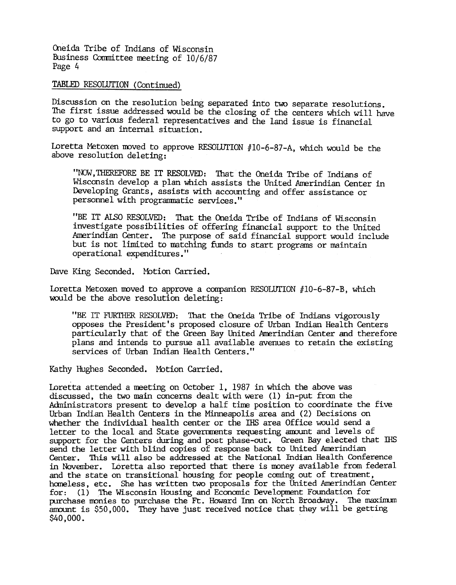Oneida Tribe of Indians of Wisconsin Business Committee meeting of 10/6/87 Page 4

TABLED RESOLUTION (Continued)

Discussion on the resolution being separated into two separate resolutions. The first issue addressed would be the closing of the centers which will have to go to various federal representatives and the land issue is financial support and an internal situation.

Loretta Metoxen moved to approve RESOLUTION  $#10-6-87-A$ , which would be the above resolution deleting:

"NOW, THEREFORE BE IT RESOLVED: That the Oneida Tribe of Indians of Wisconsin develop a plan Which assists the United Amerindian Center in Developing Grants, assists with accounting and offer assistance or personnel with progranmatic services. 'I

"BE IT AlSO RESOLVED: That. the Oneida Tribe of Indians of Wisconsin investigate possibilities of offering financial support to the United Amerindian Center. The purpose of said financial support would include but is not limited to matching ftmds to start programs or maintain operational expenditures."

Dave King Seconded. Motion Carried.

Loretta Metoxen moved to approve a companion RESOLUTION  $#10-6-87-$ B, which would be the above resolution deleting:

"BE IT FURTHER RESOLVED: That the Oneida Tribe of Indians vigorously opposes the President's proposed closure of urban Indian Health Centers particularly that of the Green Bay United Amerindian Center and therefore plans and intends to pursue all available avenues to retain the existing services of Urban Indian Health Centers."

Kathy Hughes Seconded. Motion Carried.

Loretta attended a meeting on October I, 1987 in which the above was discussed, the two main concerns dealt with were (1) in-put from the Administrators present to develop a half time position to coordinate the five Urban Indian Health Centers in the Minneapolis area and (2) Decisions on whether the individual health center or the IHS area Office would send a letter to the local and State govemnents requesting anvunt and levels of support for the Centers during and post phase-out. Green Bay elected that IHS send the letter with blind copies of response back to United Amerindia Center. This will also be addressed at the National Indian Health Conference in November. LOretta also reported that there is money available from federal and the state on transitional housing for people coming out of treatment, homeless, etc. She has written two proposals for the United Amerindian Center for: (1) The Wisconsin Housing and Economic Developnent Foundation for purchase monies to purchase the Ft. Howard Inn on North Broadway. The maximum amount is \$50,000. They have just received notice that they will be getting \$40,000.